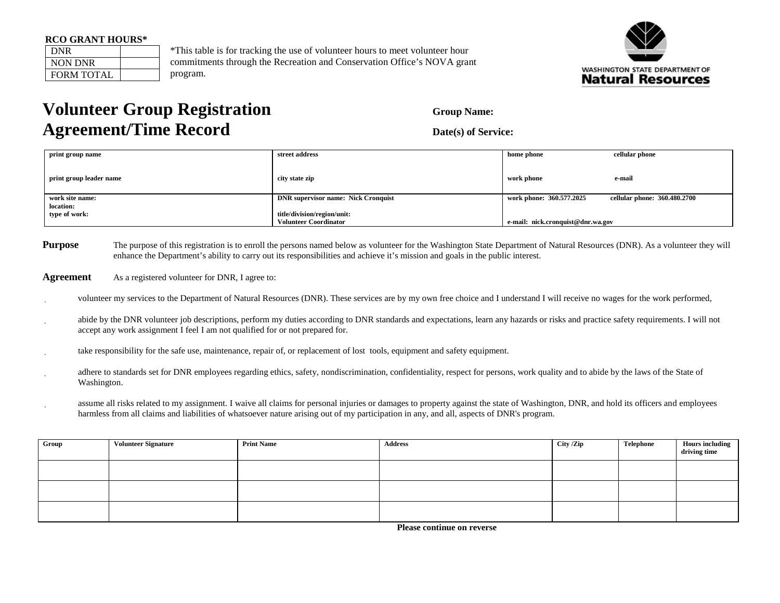| <b>RCO GRANT HOURS*</b> |  |  |
|-------------------------|--|--|
|-------------------------|--|--|

| DNR               |  |
|-------------------|--|
| <b>NON DNR</b>    |  |
| <b>FORM TOTAL</b> |  |

\*This table is for tracking the use of volunteer hours to meet volunteer hour commitments through the Recreation and Conservation Office's NOVA grant program.



## **Volunteer Group Registration Group Name:** Group Name: **Agreement/Time Record** Date(s) of Service:

| print group name        | street address                             | home phone                        | cellular phone               |  |
|-------------------------|--------------------------------------------|-----------------------------------|------------------------------|--|
| print group leader name | city state zip                             | work phone                        | e-mail                       |  |
|                         |                                            |                                   |                              |  |
| work site name:         | <b>DNR</b> supervisor name: Nick Cronquist | work phone: 360.577.2025          | cellular phone: 360.480.2700 |  |
| location:               |                                            |                                   |                              |  |
| type of work:           | title/division/region/unit:                |                                   |                              |  |
|                         | <b>Volunteer Coordinator</b>               | e-mail: nick.cronquist@dnr.wa.gov |                              |  |

- **Purpose** The purpose of this registration is to enroll the persons named below as volunteer for the Washington State Department of Natural Resources (DNR). As a volunteer they will enhance the Department's ability to carry out its responsibilities and achieve it's mission and goals in the public interest.
- **Agreement** As a registered volunteer for DNR, I agree to:
- volunteer my services to the Department of Natural Resources (DNR). These services are by my own free choice and I understand I will receive no wages for the work performed,
- abide by the DNR volunteer job descriptions, perform my duties according to DNR standards and expectations, learn any hazards or risks and practice safety requirements. I will not accept any work assignment I feel I am not qualified for or not prepared for.
- take responsibility for the safe use, maintenance, repair of, or replacement of lost tools, equipment and safety equipment.
- adhere to standards set for DNR employees regarding ethics, safety, nondiscrimination, confidentiality, respect for persons, work quality and to abide by the laws of the State of Washington.
- assume all risks related to my assignment. I waive all claims for personal injuries or damages to property against the state of Washington, DNR, and hold its officers and employees harmless from all claims and liabilities of whatsoever nature arising out of my participation in any, and all, aspects of DNR's program.

| Group | <b>Volunteer Signature</b> | <b>Print Name</b> | Address | City /Zip | Telephone | <b>Hours</b> including<br>driving time |
|-------|----------------------------|-------------------|---------|-----------|-----------|----------------------------------------|
|       |                            |                   |         |           |           |                                        |
|       |                            |                   |         |           |           |                                        |
|       |                            |                   |         |           |           |                                        |

 **Please continue on reverse**